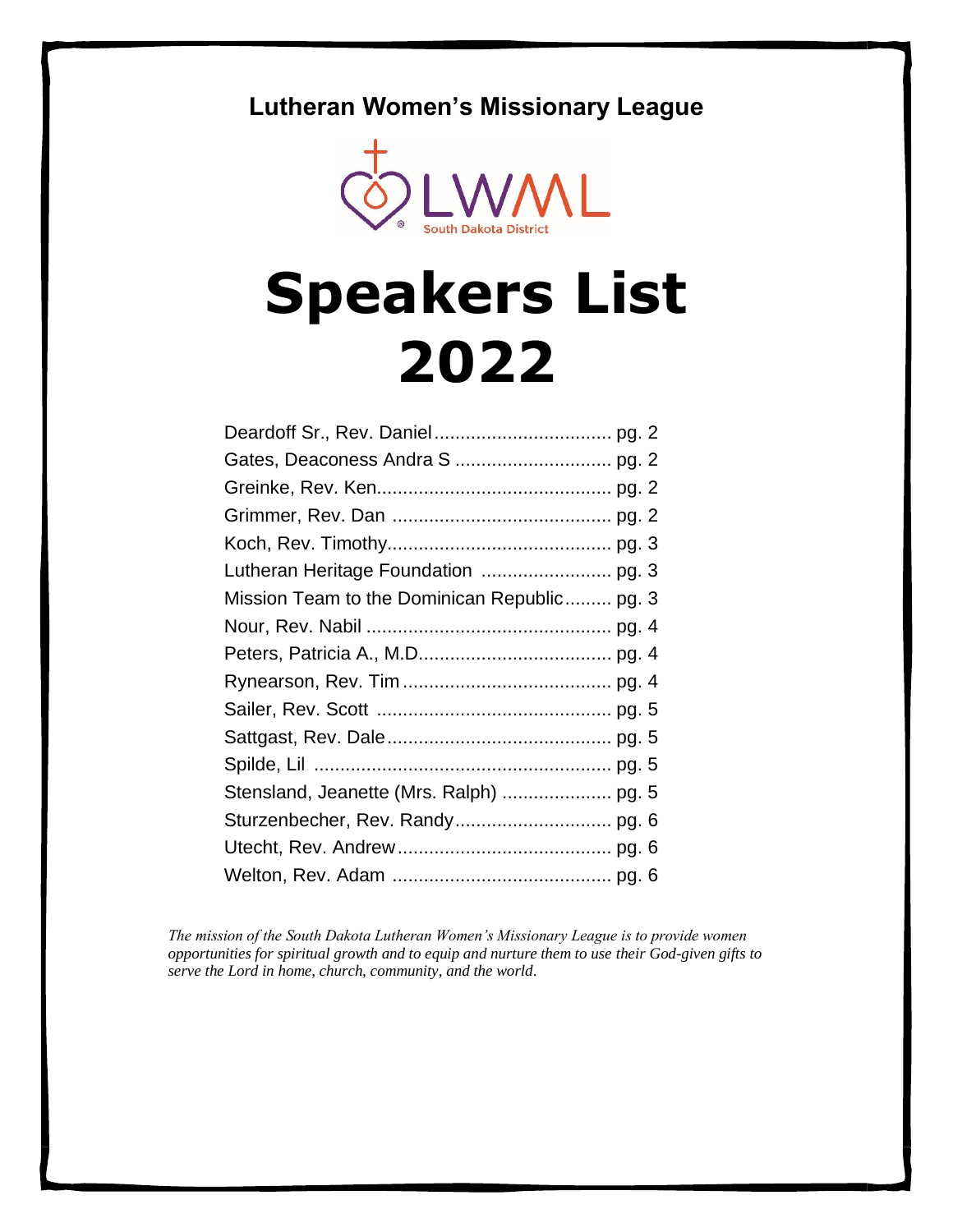# **Lutheran Women's Missionary League**



# **Speakers List 2022**

| Mission Team to the Dominican Republic pg. 3 |  |
|----------------------------------------------|--|
|                                              |  |
|                                              |  |
|                                              |  |
|                                              |  |
|                                              |  |
|                                              |  |
|                                              |  |
|                                              |  |
|                                              |  |
|                                              |  |

*The mission of the South Dakota Lutheran Women's Missionary League is to provide women opportunities for spiritual growth and to equip and nurture them to use their God-given gifts to serve the Lord in home, church, community, and the world*.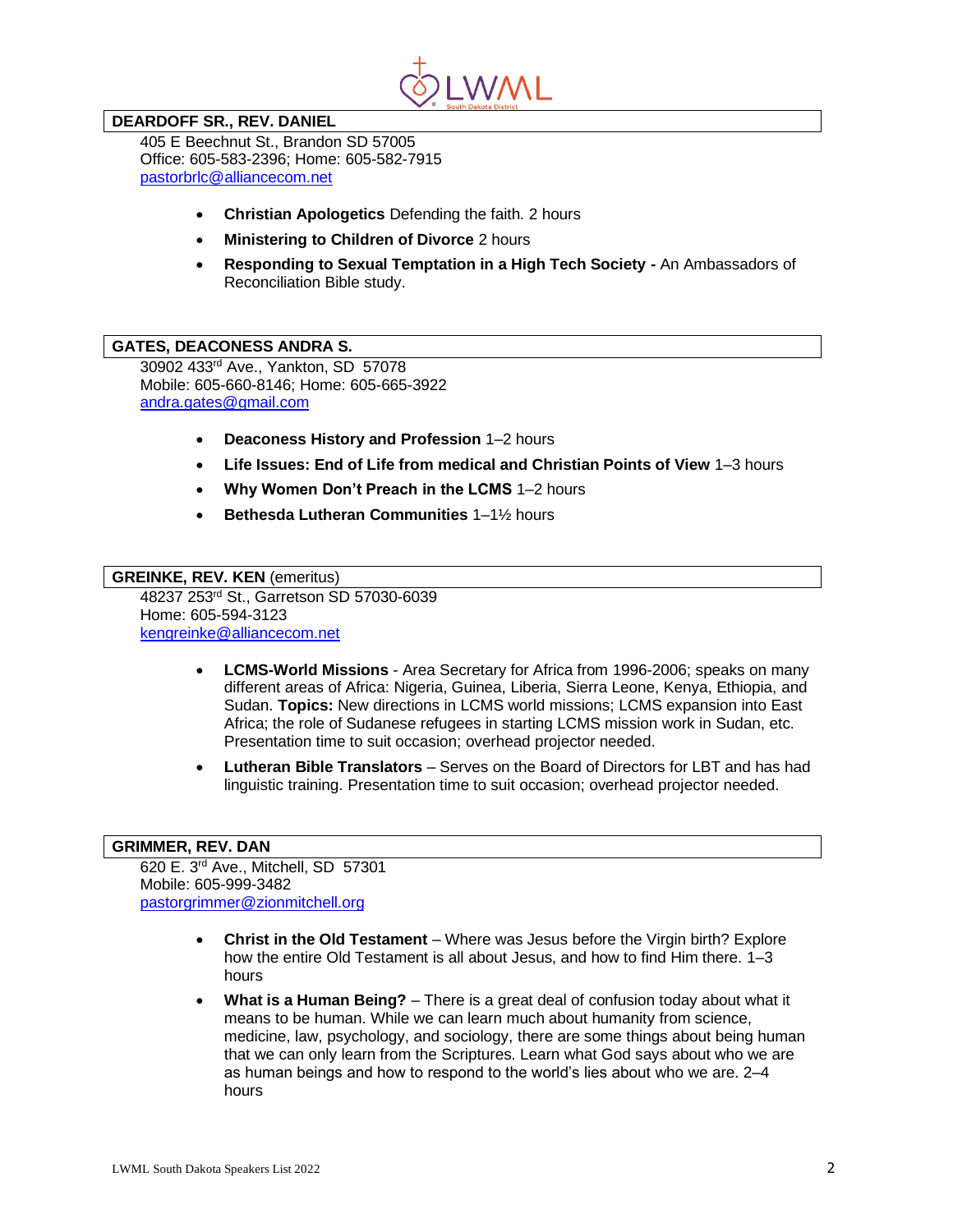

## **DEARDOFF SR., REV. DANIEL**

405 E Beechnut St., Brandon SD 57005 Office: 605-583-2396; Home: 605-582-7915 [pastorbrlc@alliancecom.net](mailto:pastorbrlc@alliancecom.net)

- **Christian Apologetics** Defending the faith. 2 hours
- **Ministering to Children of Divorce** 2 hours
- **Responding to Sexual Temptation in a High Tech Society -** An Ambassadors of Reconciliation Bible study.

#### **GATES, DEACONESS ANDRA S.**

30902 433rd Ave., Yankton, SD 57078 Mobile: 605-660-8146; Home: 605-665-3922 [andra.gates@gmail.com](mailto:andra.gates@gmail.com)

- **Deaconess History and Profession** 1–2 hours
- **Life Issues: End of Life from medical and Christian Points of View** 1–3 hours
- **Why Women Don't Preach in the LCMS** 1–2 hours
- **Bethesda Lutheran Communities** 1–1½ hours

# **GREINKE, REV. KEN** (emeritus)

48237 253rd St., Garretson SD 57030-6039 Home: 605-594-3123 [kengreinke@alliancecom.net](mailto:kengreinke@alliancecom.net)

- **LCMS-World Missions** Area Secretary for Africa from 1996-2006; speaks on many different areas of Africa: Nigeria, Guinea, Liberia, Sierra Leone, Kenya, Ethiopia, and Sudan. **Topics:** New directions in LCMS world missions; LCMS expansion into East Africa; the role of Sudanese refugees in starting LCMS mission work in Sudan, etc. Presentation time to suit occasion; overhead projector needed.
- **Lutheran Bible Translators** Serves on the Board of Directors for LBT and has had linguistic training. Presentation time to suit occasion; overhead projector needed.

#### **GRIMMER, REV. DAN**

620 E. 3rd Ave., Mitchell, SD 57301 Mobile: 605-999-3482 [pastorgrimmer@zionmitchell.org](mailto:pastorgrimmer@zionmitchell.org)

- **Christ in the Old Testament** Where was Jesus before the Virgin birth? Explore how the entire Old Testament is all about Jesus, and how to find Him there. 1–3 hours
- **What is a Human Being?** There is a great deal of confusion today about what it means to be human. While we can learn much about humanity from science, medicine, law, psychology, and sociology, there are some things about being human that we can only learn from the Scriptures. Learn what God says about who we are as human beings and how to respond to the world's lies about who we are. 2–4 hours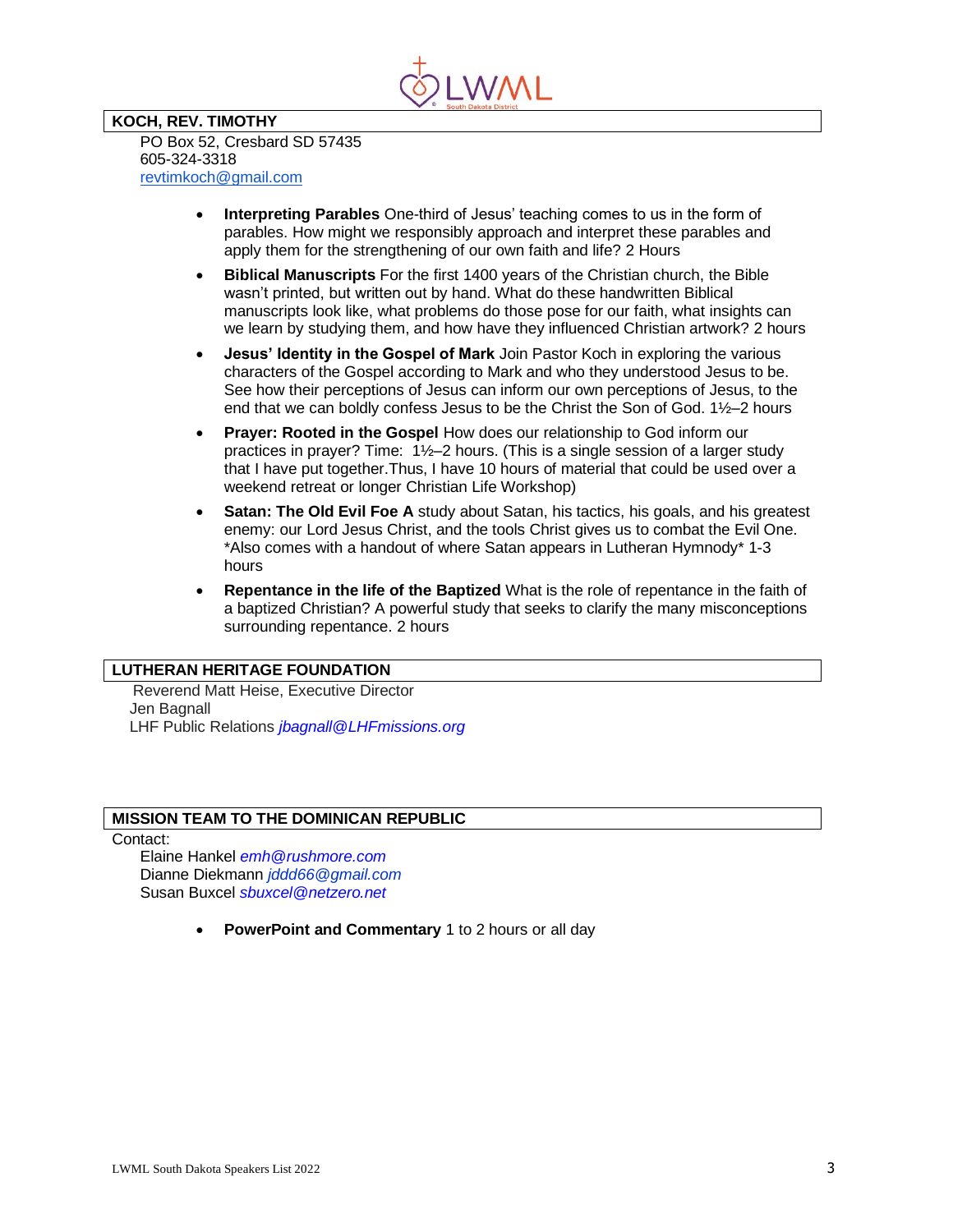

#### **KOCH, REV. TIMOTHY** PO Box 52, Cresbard SD 57435 605-324-3318 [revtimkoch@gmail.com](mailto:revtimkoch@gmail.com)

- **Interpreting Parables** One-third of Jesus' teaching comes to us in the form of parables. How might we responsibly approach and interpret these parables and apply them for the strengthening of our own faith and life? 2 Hours
- **Biblical Manuscripts** For the first 1400 years of the Christian church, the Bible wasn't printed, but written out by hand. What do these handwritten Biblical manuscripts look like, what problems do those pose for our faith, what insights can we learn by studying them, and how have they influenced Christian artwork? 2 hours
- **Jesus' Identity in the Gospel of Mark** Join Pastor Koch in exploring the various characters of the Gospel according to Mark and who they understood Jesus to be. See how their perceptions of Jesus can inform our own perceptions of Jesus, to the end that we can boldly confess Jesus to be the Christ the Son of God. 1½–2 hours
- **Prayer: Rooted in the Gospel** How does our relationship to God inform our practices in prayer? Time: 1½–2 hours. (This is a single session of a larger study that I have put together.Thus, I have 10 hours of material that could be used over a weekend retreat or longer Christian Life Workshop)
- **Satan: The Old Evil Foe A** study about Satan, his tactics, his goals, and his greatest enemy: our Lord Jesus Christ, and the tools Christ gives us to combat the Evil One. \*Also comes with a handout of where Satan appears in Lutheran Hymnody\* 1-3 hours
- **Repentance in the life of the Baptized** What is the role of repentance in the faith of a baptized Christian? A powerful study that seeks to clarify the many misconceptions surrounding repentance. 2 hours

# **LUTHERAN HERITAGE FOUNDATION**

Reverend Matt Heise, Executive Director Jen Bagnall LHF Public Relations *[jbagnall@LHFmissions.org](mailto:jbagnall@LHFmissions.org)*

# **MISSION TEAM TO THE DOMINICAN REPUBLIC**

Contact:

Elaine Hankel *[emh@rushmore.com](mailto:emh@rushmore.com)* Dianne Diekmann *[jddd66@gmail.com](mailto:jddd66@gmail.com)* Susan Buxcel *[sbuxcel@netzero.net](mailto:sbuxcel@netzero.net)*

• **PowerPoint and Commentary** 1 to 2 hours or all day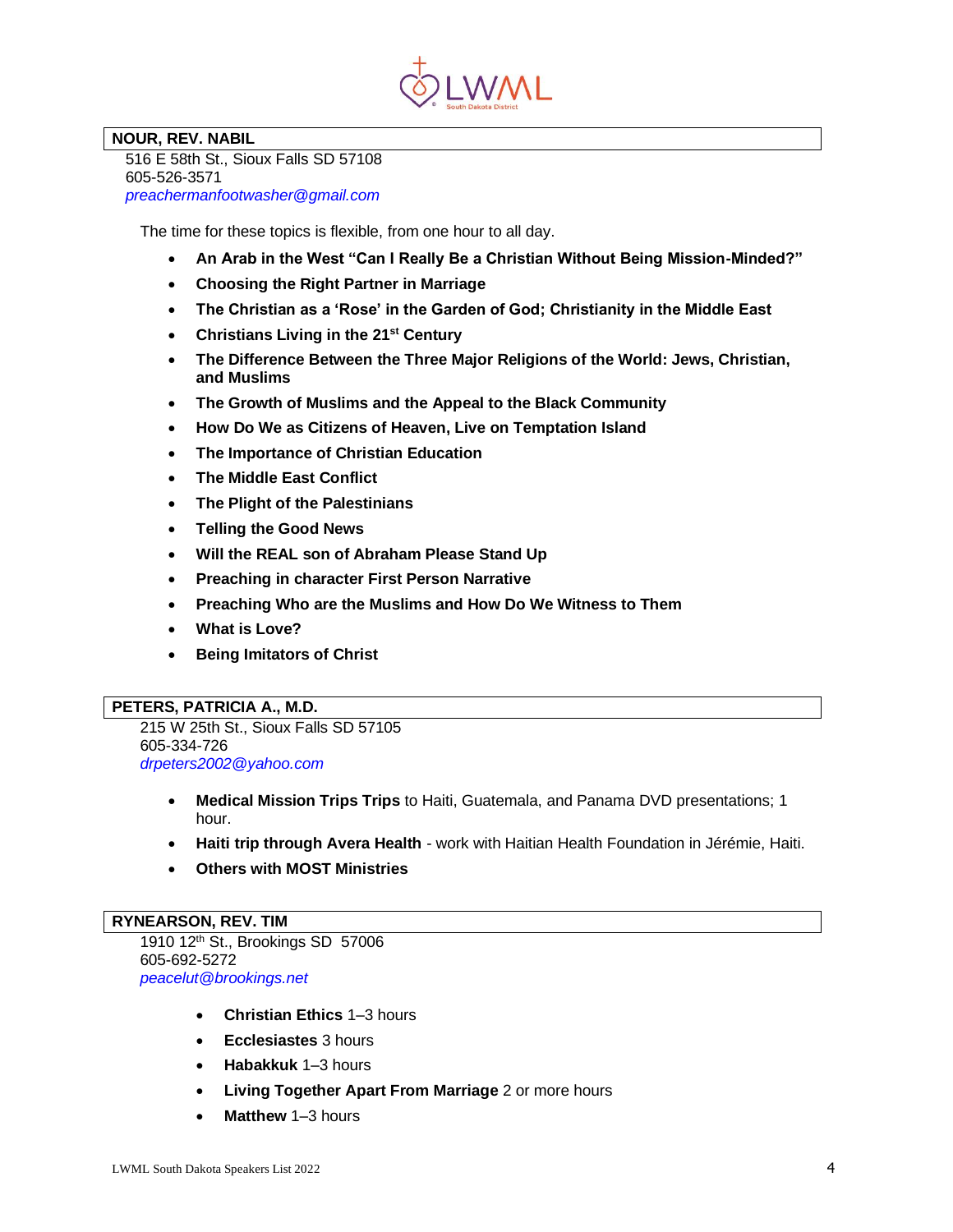

# **NOUR, REV. NABIL**

 516 E 58th St., Sioux Falls SD 57108 605-526-3571  *[preachermanfootwasher@gmail.com](mailto:preachermanfootwasher@gmail.com)* 

The time for these topics is flexible, from one hour to all day.

- **An Arab in the West "Can I Really Be a Christian Without Being Mission-Minded?"**
- **Choosing the Right Partner in Marriage**
- **The Christian as a 'Rose' in the Garden of God; Christianity in the Middle East**
- **Christians Living in the 21st Century**
- **The Difference Between the Three Major Religions of the World: Jews, Christian, and Muslims**
- **The Growth of Muslims and the Appeal to the Black Community**
- **How Do We as Citizens of Heaven, Live on Temptation Island**
- **The Importance of Christian Education**
- **The Middle East Conflict**
- **The Plight of the Palestinians**
- **Telling the Good News**
- **Will the REAL son of Abraham Please Stand Up**
- **Preaching in character First Person Narrative**
- **Preaching Who are the Muslims and How Do We Witness to Them**
- **What is Love?**
- **Being Imitators of Christ**

#### **PETERS, PATRICIA A., M.D.**

215 W 25th St., Sioux Falls SD 57105 605-334-726 *[drpeters2002@yahoo.com](mailto:drpeters2002@yahoo.com)*

- **Medical Mission Trips Trips** to Haiti, Guatemala, and Panama DVD presentations; 1 hour.
- **Haiti trip through Avera Health** work with Haitian Health Foundation in Jérémie, Haiti.
- **Others with MOST Ministries**

#### **RYNEARSON, REV. TIM**

1910 12th St., Brookings SD 57006 605-692-5272 *[peacelut@brookings.net](mailto:peacelut@brookings.net)*

- **Christian Ethics** 1–3 hours
- **Ecclesiastes** 3 hours
- **Habakkuk** 1–3 hours
- **Living Together Apart From Marriage** 2 or more hours
- **Matthew** 1–3 hours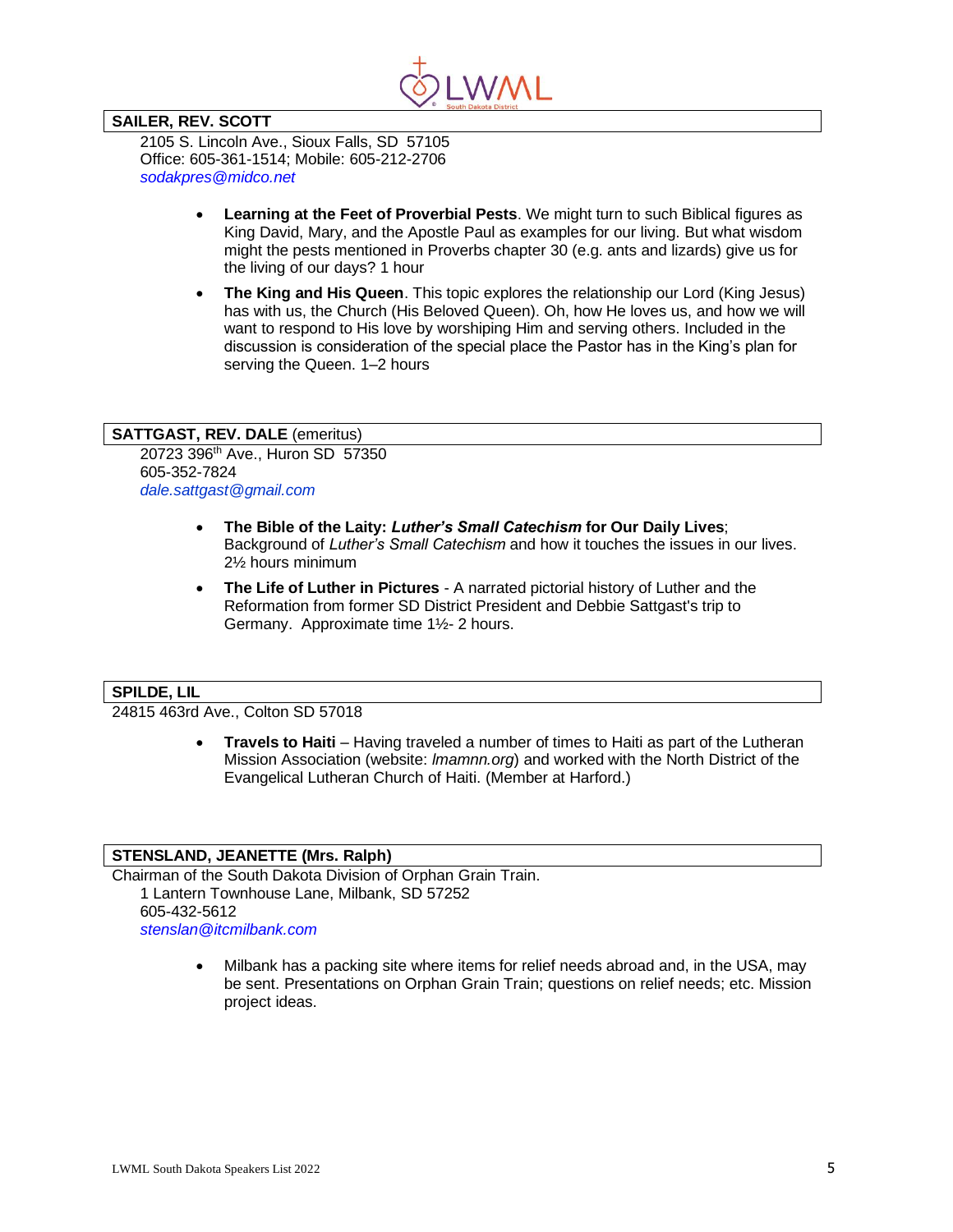

# **SAILER, REV. SCOTT**

2105 S. Lincoln Ave., Sioux Falls, SD 57105 Office: 605-361-1514; Mobile: 605-212-2706 *[sodakpres@midco.net](mailto:sodakpres@midco.net)*

- **Learning at the Feet of Proverbial Pests**. We might turn to such Biblical figures as King David, Mary, and the Apostle Paul as examples for our living. But what wisdom might the pests mentioned in Proverbs chapter 30 (e.g. ants and lizards) give us for the living of our days? 1 hour
- **The King and His Queen**. This topic explores the relationship our Lord (King Jesus) has with us, the Church (His Beloved Queen). Oh, how He loves us, and how we will want to respond to His love by worshiping Him and serving others. Included in the discussion is consideration of the special place the Pastor has in the King's plan for serving the Queen. 1–2 hours

#### **SATTGAST, REV. DALE** (emeritus)

20723 396th Ave., Huron SD 57350 605-352-7824 *dale.sattgast@gmail.com*

- **The Bible of the Laity:** *Luther's Small Catechism* **for Our Daily Lives**; Background of *Luther's Small Catechism* and how it touches the issues in our lives. 2½ hours minimum
- **The Life of Luther in Pictures** A narrated pictorial history of Luther and the Reformation from former SD District President and Debbie Sattgast's trip to Germany. Approximate time 1½- 2 hours.

# **SPILDE, LIL**

24815 463rd Ave., Colton SD 57018

• **Travels to Haiti** – Having traveled a number of times to Haiti as part of the Lutheran Mission Association (website: *lmamnn.org*) and worked with the North District of the Evangelical Lutheran Church of Haiti. (Member at Harford.)

#### **STENSLAND, JEANETTE (Mrs. Ralph)**

Chairman of the South Dakota Division of Orphan Grain Train. 1 Lantern Townhouse Lane, Milbank, SD 57252 605-432-5612 *[stenslan@itcmilbank.com](mailto:stenslan@itcmilbank.com)*

> • Milbank has a packing site where items for relief needs abroad and, in the USA, may be sent. Presentations on Orphan Grain Train; questions on relief needs; etc. Mission project ideas.